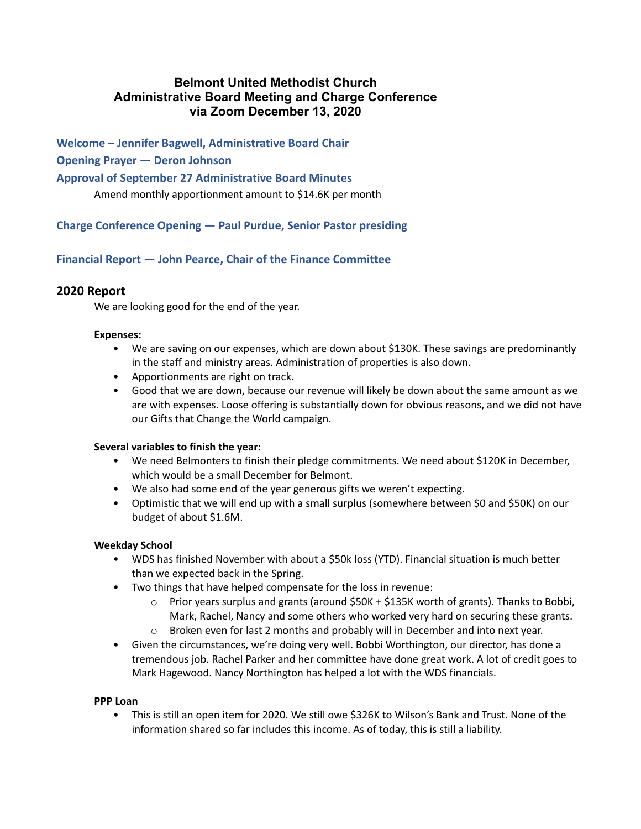# **Belmont United Methodist Church Administrative Board Meeting and Charge Conference via Zoom December 13, 2020**

**Welcome – Jennifer Bagwell, Administrative Board Chair**

#### **Opening Prayer — Deron Johnson**

#### **Approval of September 27 Administrative Board Minutes**

Amend monthly apportionment amount to \$14.6K per month

**Charge Conference Opening — Paul Purdue, Senior Pastor presiding**

**Financial Report — John Pearce, Chair of the Finance Committee**

#### **2020 Report**

We are looking good for the end of the year.

#### **Expenses:**

- We are saving on our expenses, which are down about \$130K. These savings are predominantly in the staff and ministry areas. Administration of properties is also down.
- Apportionments are right on track.
- Good that we are down, because our revenue will likely be down about the same amount as we are with expenses. Loose offering is substantially down for obvious reasons, and we did not have our Gifts that Change the World campaign.

#### **Several variables to finish the year:**

- We need Belmonters to finish their pledge commitments. We need about \$120K in December, which would be a small December for Belmont.
- We also had some end of the year generous gifts we weren't expecting.
- Optimistic that we will end up with a small surplus (somewhere between \$0 and \$50K) on our budget of about \$1.6M.

#### **Weekday School**

- WDS has finished November with about a \$50k loss (YTD). Financial situation is much better than we expected back in the Spring.
- Two things that have helped compensate for the loss in revenue:
	- $\circ$  Prior years surplus and grants (around \$50K + \$135K worth of grants). Thanks to Bobbi, Mark, Rachel, Nancy and some others who worked very hard on securing these grants.
	- $\circ$  Broken even for last 2 months and probably will in December and into next year.
- Given the circumstances, we're doing very well. Bobbi Worthington, our director, has done a tremendous job. Rachel Parker and her committee have done great work. A lot of credit goes to Mark Hagewood. Nancy Northington has helped a lot with the WDS financials.

#### **PPP Loan**

• This is still an open item for 2020. We still owe \$326K to Wilson's Bank and Trust. None of the information shared so far includes this income. As of today, this is still a liability.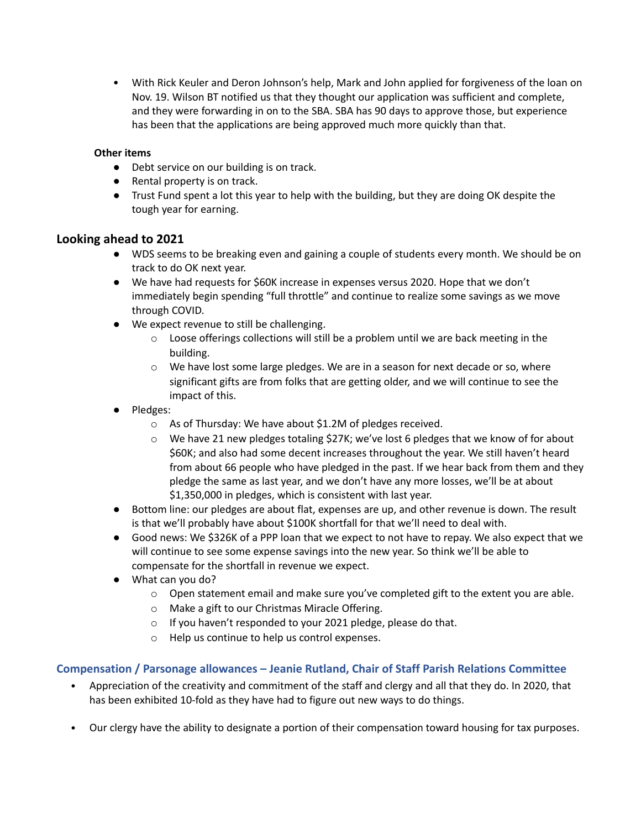• With Rick Keuler and Deron Johnson's help, Mark and John applied for forgiveness of the loan on Nov. 19. Wilson BT notified us that they thought our application was sufficient and complete, and they were forwarding in on to the SBA. SBA has 90 days to approve those, but experience has been that the applications are being approved much more quickly than that.

## **Other items**

- Debt service on our building is on track.
- Rental property is on track.
- Trust Fund spent a lot this year to help with the building, but they are doing OK despite the tough year for earning.

## **Looking ahead to 2021**

- WDS seems to be breaking even and gaining a couple of students every month. We should be on track to do OK next year.
- We have had requests for \$60K increase in expenses versus 2020. Hope that we don't immediately begin spending "full throttle" and continue to realize some savings as we move through COVID.
- We expect revenue to still be challenging.
	- $\circ$  Loose offerings collections will still be a problem until we are back meeting in the building.
	- $\circ$  We have lost some large pledges. We are in a season for next decade or so, where significant gifts are from folks that are getting older, and we will continue to see the impact of this.
- Pledges:
	- o As of Thursday: We have about \$1.2M of pledges received.
	- $\circ$  We have 21 new pledges totaling \$27K; we've lost 6 pledges that we know of for about \$60K; and also had some decent increases throughout the year. We still haven't heard from about 66 people who have pledged in the past. If we hear back from them and they pledge the same as last year, and we don't have any more losses, we'll be at about \$1,350,000 in pledges, which is consistent with last year.
- Bottom line: our pledges are about flat, expenses are up, and other revenue is down. The result is that we'll probably have about \$100K shortfall for that we'll need to deal with.
- Good news: We \$326K of a PPP loan that we expect to not have to repay. We also expect that we will continue to see some expense savings into the new year. So think we'll be able to compensate for the shortfall in revenue we expect.
- What can you do?
	- $\circ$  Open statement email and make sure you've completed gift to the extent you are able.
	- o Make a gift to our Christmas Miracle Offering.
	- o If you haven't responded to your 2021 pledge, please do that.
	- o Help us continue to help us control expenses.

# **Compensation / Parsonage allowances – Jeanie Rutland, Chair of Staff Parish Relations Committee**

- Appreciation of the creativity and commitment of the staff and clergy and all that they do. In 2020, that has been exhibited 10-fold as they have had to figure out new ways to do things.
- Our clergy have the ability to designate a portion of their compensation toward housing for tax purposes.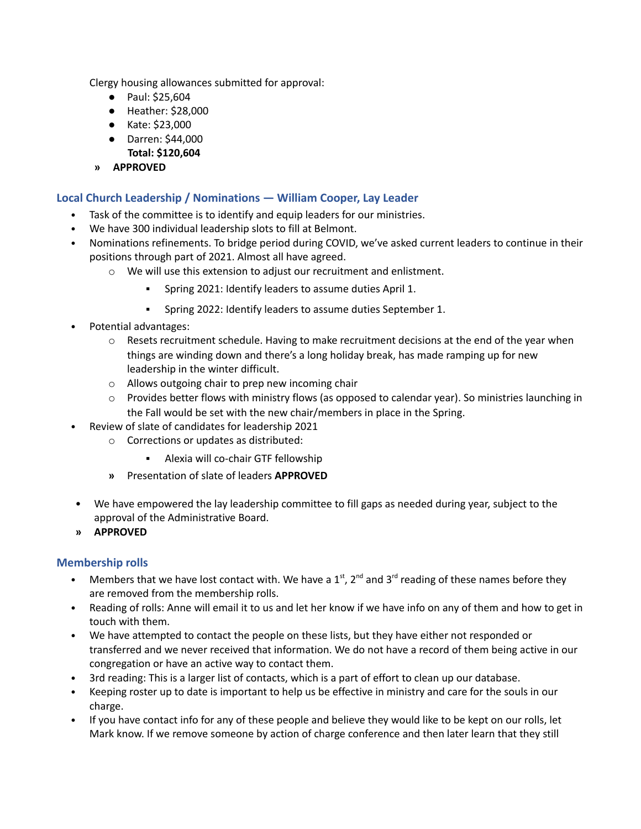Clergy housing allowances submitted for approval:

- Paul: \$25,604
- Heather: \$28,000
- Kate: \$23,000
- Darren: \$44,000
- **Total: \$120,604**
- **» APPROVED**

#### **Local Church Leadership / Nominations — William Cooper, Lay Leader**

- Task of the committee is to identify and equip leaders for our ministries.
- We have 300 individual leadership slots to fill at Belmont.
- Nominations refinements. To bridge period during COVID, we've asked current leaders to continue in their positions through part of 2021. Almost all have agreed.
	- o We will use this extension to adjust our recruitment and enlistment.
		- Spring 2021: Identify leaders to assume duties April 1.
		- Spring 2022: Identify leaders to assume duties September 1.
- Potential advantages:
	- $\circ$  Resets recruitment schedule. Having to make recruitment decisions at the end of the year when things are winding down and there's a long holiday break, has made ramping up for new leadership in the winter difficult.
	- o Allows outgoing chair to prep new incoming chair
	- $\circ$  Provides better flows with ministry flows (as opposed to calendar year). So ministries launching in the Fall would be set with the new chair/members in place in the Spring.
- Review of slate of candidates for leadership 2021
	- o Corrections or updates as distributed:
		- Alexia will co-chair GTF fellowship
	- **»** Presentation of slate of leaders **APPROVED**
- We have empowered the lay leadership committee to fill gaps as needed during year, subject to the approval of the Administrative Board.
- **» APPROVED**

#### **Membership rolls**

- Members that we have lost contact with. We have a  $1<sup>st</sup>$ ,  $2<sup>nd</sup>$  and  $3<sup>rd</sup>$  reading of these names before they are removed from the membership rolls.
- Reading of rolls: Anne will email it to us and let her know if we have info on any of them and how to get in touch with them.
- We have attempted to contact the people on these lists, but they have either not responded or transferred and we never received that information. We do not have a record of them being active in our congregation or have an active way to contact them.
- 3rd reading: This is a larger list of contacts, which is a part of effort to clean up our database.
- Keeping roster up to date is important to help us be effective in ministry and care for the souls in our charge.
- If you have contact info for any of these people and believe they would like to be kept on our rolls, let Mark know. If we remove someone by action of charge conference and then later learn that they still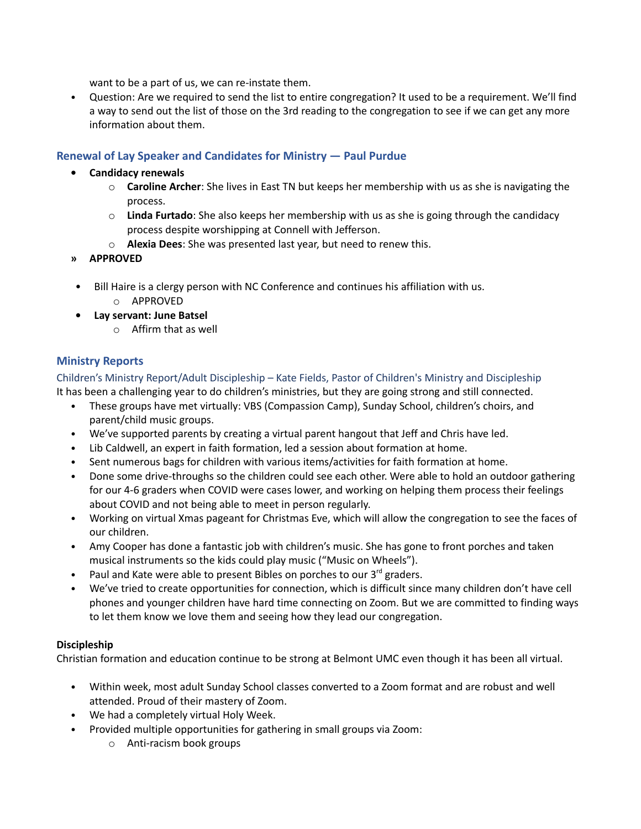want to be a part of us, we can re-instate them.

• Question: Are we required to send the list to entire congregation? It used to be a requirement. We'll find a way to send out the list of those on the 3rd reading to the congregation to see if we can get any more information about them.

## **Renewal of Lay Speaker and Candidates for Ministry — Paul Purdue**

## **• Candidacy renewals**

- o **Caroline Archer**: She lives in East TN but keeps her membership with us as she is navigating the process.
- o **Linda Furtado**: She also keeps her membership with us as she is going through the candidacy process despite worshipping at Connell with Jefferson.
- o **Alexia Dees**: She was presented last year, but need to renew this.
- **» APPROVED**
- Bill Haire is a clergy person with NC Conference and continues his affiliation with us.
	- o APPROVED
- **• Lay servant: June Batsel**
	- o Affirm that as well

## **Ministry Reports**

Children's Ministry Report/Adult Discipleship – Kate Fields, Pastor of Children's Ministry and Discipleship It has been a challenging year to do children's ministries, but they are going strong and still connected.

- These groups have met virtually: VBS (Compassion Camp), Sunday School, children's choirs, and parent/child music groups.
- We've supported parents by creating a virtual parent hangout that Jeff and Chris have led.
- Lib Caldwell, an expert in faith formation, led a session about formation at home.
- Sent numerous bags for children with various items/activities for faith formation at home.
- Done some drive-throughs so the children could see each other. Were able to hold an outdoor gathering for our 4-6 graders when COVID were cases lower, and working on helping them process their feelings about COVID and not being able to meet in person regularly.
- Working on virtual Xmas pageant for Christmas Eve, which will allow the congregation to see the faces of our children.
- Amy Cooper has done a fantastic job with children's music. She has gone to front porches and taken musical instruments so the kids could play music ("Music on Wheels").
- Paul and Kate were able to present Bibles on porches to our  $3^{rd}$  graders.
- We've tried to create opportunities for connection, which is difficult since many children don't have cell phones and younger children have hard time connecting on Zoom. But we are committed to finding ways to let them know we love them and seeing how they lead our congregation.

## **Discipleship**

Christian formation and education continue to be strong at Belmont UMC even though it has been all virtual.

- Within week, most adult Sunday School classes converted to a Zoom format and are robust and well attended. Proud of their mastery of Zoom.
- We had a completely virtual Holy Week.
- Provided multiple opportunities for gathering in small groups via Zoom:
	- o Anti-racism book groups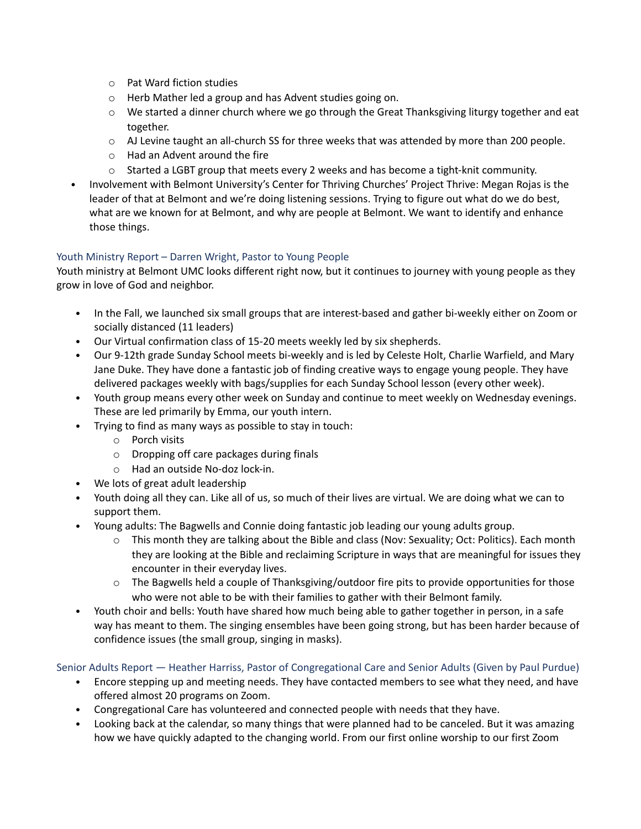- o Pat Ward fiction studies
- o Herb Mather led a group and has Advent studies going on.
- $\circ$  We started a dinner church where we go through the Great Thanksgiving liturgy together and eat together.
- $\circ$  AJ Levine taught an all-church SS for three weeks that was attended by more than 200 people.
- o Had an Advent around the fire
- $\circ$  Started a LGBT group that meets every 2 weeks and has become a tight-knit community.
- Involvement with Belmont University's Center for Thriving Churches' Project Thrive: Megan Rojas is the leader of that at Belmont and we're doing listening sessions. Trying to figure out what do we do best, what are we known for at Belmont, and why are people at Belmont. We want to identify and enhance those things.

## Youth Ministry Report – Darren Wright, Pastor to Young People

Youth ministry at Belmont UMC looks different right now, but it continues to journey with young people as they grow in love of God and neighbor.

- In the Fall, we launched six small groups that are interest-based and gather bi-weekly either on Zoom or socially distanced (11 leaders)
- Our Virtual confirmation class of 15-20 meets weekly led by six shepherds.
- Our 9-12th grade Sunday School meets bi-weekly and is led by Celeste Holt, Charlie Warfield, and Mary Jane Duke. They have done a fantastic job of finding creative ways to engage young people. They have delivered packages weekly with bags/supplies for each Sunday School lesson (every other week).
- Youth group means every other week on Sunday and continue to meet weekly on Wednesday evenings. These are led primarily by Emma, our youth intern.
- Trying to find as many ways as possible to stay in touch:
	- o Porch visits
	- o Dropping off care packages during finals
	- o Had an outside No-doz lock-in.
- We lots of great adult leadership
- Youth doing all they can. Like all of us, so much of their lives are virtual. We are doing what we can to support them.
- Young adults: The Bagwells and Connie doing fantastic job leading our young adults group.
	- o This month they are talking about the Bible and class (Nov: Sexuality; Oct: Politics). Each month they are looking at the Bible and reclaiming Scripture in ways that are meaningful for issues they encounter in their everyday lives.
	- $\circ$  The Bagwells held a couple of Thanksgiving/outdoor fire pits to provide opportunities for those who were not able to be with their families to gather with their Belmont family.
- Youth choir and bells: Youth have shared how much being able to gather together in person, in a safe way has meant to them. The singing ensembles have been going strong, but has been harder because of confidence issues (the small group, singing in masks).

## Senior Adults Report — Heather Harriss, Pastor of Congregational Care and Senior Adults (Given by Paul Purdue)

- Encore stepping up and meeting needs. They have contacted members to see what they need, and have offered almost 20 programs on Zoom.
- Congregational Care has volunteered and connected people with needs that they have.
- Looking back at the calendar, so many things that were planned had to be canceled. But it was amazing how we have quickly adapted to the changing world. From our first online worship to our first Zoom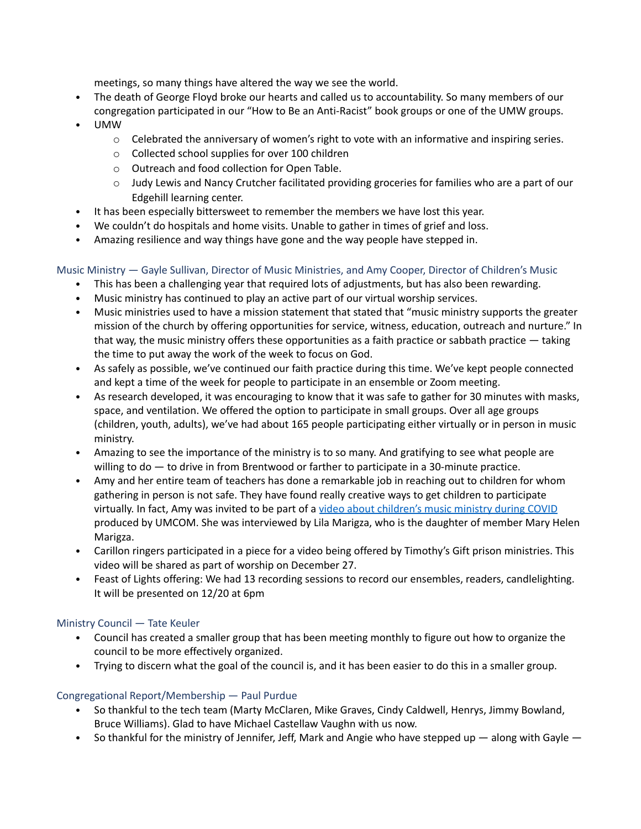meetings, so many things have altered the way we see the world.

- The death of George Floyd broke our hearts and called us to accountability. So many members of our congregation participated in our "How to Be an Anti-Racist" book groups or one of the UMW groups.
- UMW
	- $\circ$  Celebrated the anniversary of women's right to vote with an informative and inspiring series.
	- o Collected school supplies for over 100 children
	- o Outreach and food collection for Open Table.
	- o Judy Lewis and Nancy Crutcher facilitated providing groceries for families who are a part of our Edgehill learning center.
- It has been especially bittersweet to remember the members we have lost this year.
- We couldn't do hospitals and home visits. Unable to gather in times of grief and loss.
- Amazing resilience and way things have gone and the way people have stepped in.

## Music Ministry — Gayle Sullivan, Director of Music Ministries, and Amy Cooper, Director of Children's Music

- This has been a challenging year that required lots of adjustments, but has also been rewarding.
- Music ministry has continued to play an active part of our virtual worship services.
- Music ministries used to have a mission statement that stated that "music ministry supports the greater mission of the church by offering opportunities for service, witness, education, outreach and nurture." In that way, the music ministry offers these opportunities as a faith practice or sabbath practice - taking the time to put away the work of the week to focus on God.
- As safely as possible, we've continued our faith practice during this time. We've kept people connected and kept a time of the week for people to participate in an ensemble or Zoom meeting.
- As research developed, it was encouraging to know that it was safe to gather for 30 minutes with masks, space, and ventilation. We offered the option to participate in small groups. Over all age groups (children, youth, adults), we've had about 165 people participating either virtually or in person in music ministry.
- Amazing to see the importance of the ministry is to so many. And gratifying to see what people are willing to do - to drive in from Brentwood or farther to participate in a 30-minute practice.
- Amy and her entire team of teachers has done a remarkable job in reaching out to children for whom gathering in person is not safe. They have found really creative ways to get children to participate virtually. In fact, Amy was invited to be part of a video about [children's](https://www.youtube.com/watch?v=5LuXZBGxHG8) music ministry during COVID produced by UMCOM. She was interviewed by Lila Marigza, who is the daughter of member Mary Helen Marigza.
- Carillon ringers participated in a piece for a video being offered by Timothy's Gift prison ministries. This video will be shared as part of worship on December 27.
- Feast of Lights offering: We had 13 recording sessions to record our ensembles, readers, candlelighting. It will be presented on 12/20 at 6pm

## Ministry Council — Tate Keuler

- Council has created a smaller group that has been meeting monthly to figure out how to organize the council to be more effectively organized.
- Trying to discern what the goal of the council is, and it has been easier to do this in a smaller group.

## Congregational Report/Membership — Paul Purdue

- So thankful to the tech team (Marty McClaren, Mike Graves, Cindy Caldwell, Henrys, Jimmy Bowland, Bruce Williams). Glad to have Michael Castellaw Vaughn with us now.
- So thankful for the ministry of Jennifer, Jeff, Mark and Angie who have stepped up  $-$  along with Gayle  $-$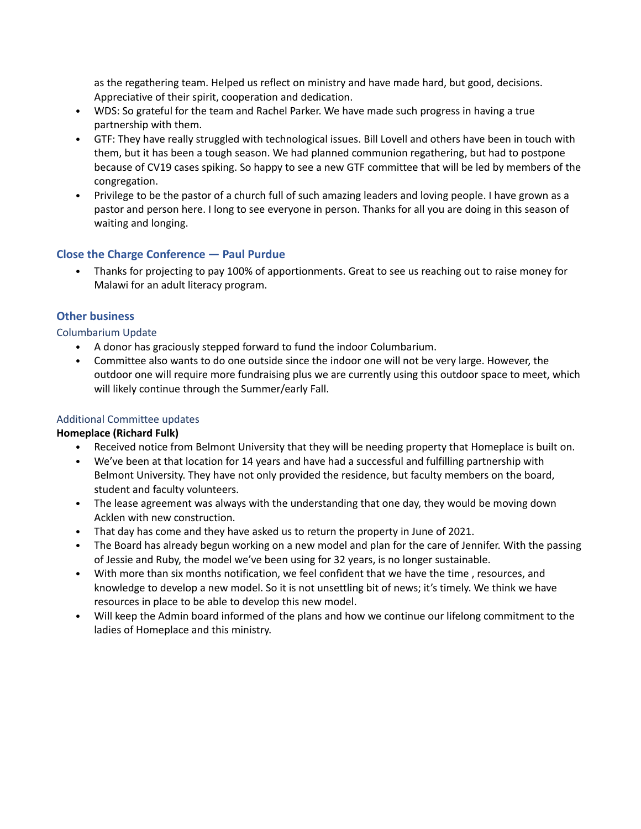as the regathering team. Helped us reflect on ministry and have made hard, but good, decisions. Appreciative of their spirit, cooperation and dedication.

- WDS: So grateful for the team and Rachel Parker. We have made such progress in having a true partnership with them.
- GTF: They have really struggled with technological issues. Bill Lovell and others have been in touch with them, but it has been a tough season. We had planned communion regathering, but had to postpone because of CV19 cases spiking. So happy to see a new GTF committee that will be led by members of the congregation.
- Privilege to be the pastor of a church full of such amazing leaders and loving people. I have grown as a pastor and person here. I long to see everyone in person. Thanks for all you are doing in this season of waiting and longing.

## **Close the Charge Conference — Paul Purdue**

• Thanks for projecting to pay 100% of apportionments. Great to see us reaching out to raise money for Malawi for an adult literacy program.

## **Other business**

Columbarium Update

- A donor has graciously stepped forward to fund the indoor Columbarium.
- Committee also wants to do one outside since the indoor one will not be very large. However, the outdoor one will require more fundraising plus we are currently using this outdoor space to meet, which will likely continue through the Summer/early Fall.

#### Additional Committee updates

#### **Homeplace (Richard Fulk)**

- Received notice from Belmont University that they will be needing property that Homeplace is built on.
- We've been at that location for 14 years and have had a successful and fulfilling partnership with Belmont University. They have not only provided the residence, but faculty members on the board, student and faculty volunteers.
- The lease agreement was always with the understanding that one day, they would be moving down Acklen with new construction.
- That day has come and they have asked us to return the property in June of 2021.
- The Board has already begun working on a new model and plan for the care of Jennifer. With the passing of Jessie and Ruby, the model we've been using for 32 years, is no longer sustainable.
- With more than six months notification, we feel confident that we have the time , resources, and knowledge to develop a new model. So it is not unsettling bit of news; it's timely. We think we have resources in place to be able to develop this new model.
- Will keep the Admin board informed of the plans and how we continue our lifelong commitment to the ladies of Homeplace and this ministry.